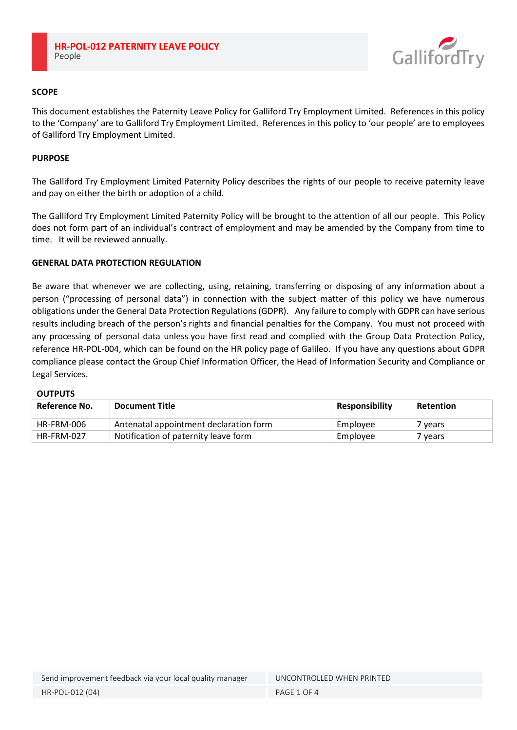

### **SCOPE**

This document establishes the Paternity Leave Policy for Galliford Try Employment Limited. References in this policy to the 'Company' are to Galliford Try Employment Limited. References in this policy to 'our people' are to employees of Galliford Try Employment Limited.

### **PURPOSE**

The Galliford Try Employment Limited Paternity Policy describes the rights of our people to receive paternity leave and pay on either the birth or adoption of a child.

The Galliford Try Employment Limited Paternity Policy will be brought to the attention of all our people. This Policy does not form part of an individual's contract of employment and may be amended by the Company from time to time. It will be reviewed annually.

### **GENERAL DATA PROTECTION REGULATION**

Be aware that whenever we are collecting, using, retaining, transferring or disposing of any information about a person ("processing of personal data") in connection with the subject matter of this policy we have numerous obligations under the General Data Protection Regulations (GDPR). Any failure to comply with GDPR can have serious results including breach of the person's rights and financial penalties for the Company. You must not proceed with any processing of personal data unless you have first read and complied with the Group Data Protection Policy, reference HR-POL-004, which can be found on the HR policy page of Galileo. If you have any questions about GDPR compliance please contact the Group Chief Information Officer, the Head of Information Security and Compliance or Legal Services.

### **OUTPUTS**

| Reference No. | <b>Document Title</b>                  | <b>Responsibility</b> | Retention          |
|---------------|----------------------------------------|-----------------------|--------------------|
| HR-FRM-006    | Antenatal appointment declaration form | Employee              | ' vears            |
| HR-FRM-027    | Notification of paternity leave form   | Employee              | <sup>7</sup> vears |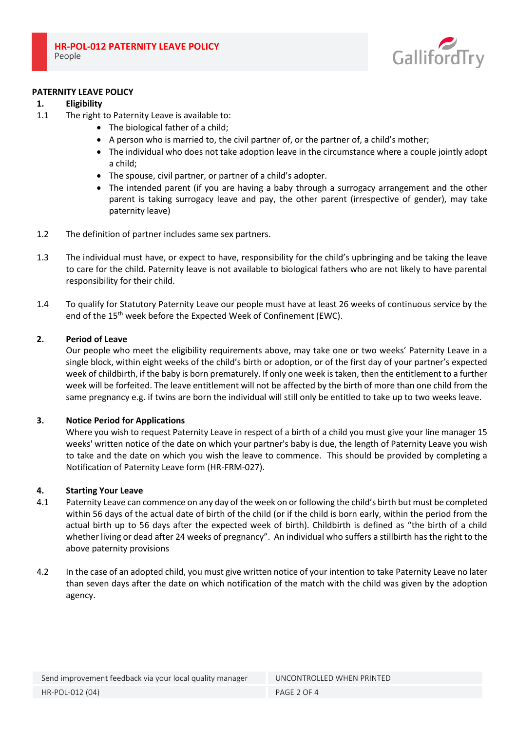

### **PATERNITY LEAVE POLICY**

# **1. Eligibility**

- 1.1 The right to Paternity Leave is available to:
	- The biological father of a child;
	- A person who is married to, the civil partner of, or the partner of, a child's mother;
	- The individual who does not take adoption leave in the circumstance where a couple jointly adopt a child;
	- The spouse, civil partner, or partner of a child's adopter.
	- The intended parent (if you are having a baby through a surrogacy arrangement and the other parent is taking surrogacy leave and pay, the other parent (irrespective of gender), may take paternity leave)
- 1.2 The definition of partner includes same sex partners.
- 1.3 The individual must have, or expect to have, responsibility for the child's upbringing and be taking the leave to care for the child. Paternity leave is not available to biological fathers who are not likely to have parental responsibility for their child.
- 1.4 To qualify for Statutory Paternity Leave our people must have at least 26 weeks of continuous service by the end of the 15<sup>th</sup> week before the Expected Week of Confinement (EWC).

# **2. Period of Leave**

Our people who meet the eligibility requirements above, may take one or two weeks' Paternity Leave in a single block, within eight weeks of the child's birth or adoption, or of the first day of your partner's expected week of childbirth, if the baby is born prematurely. If only one week is taken, then the entitlement to a further week will be forfeited. The leave entitlement will not be affected by the birth of more than one child from the same pregnancy e.g. if twins are born the individual will still only be entitled to take up to two weeks leave.

### **3. Notice Period for Applications**

Where you wish to request Paternity Leave in respect of a birth of a child you must give your line manager 15 weeks' written notice of the date on which your partner's baby is due, the length of Paternity Leave you wish to take and the date on which you wish the leave to commence. This should be provided by completing a Notification of Paternity Leave form (HR-FRM-027).

### **4. Starting Your Leave**

- 4.1 Paternity Leave can commence on any day of the week on or following the child's birth but must be completed within 56 days of the actual date of birth of the child (or if the child is born early, within the period from the actual birth up to 56 days after the expected week of birth). Childbirth is defined as "the birth of a child whether living or dead after 24 weeks of pregnancy". An individual who suffers a stillbirth has the right to the above paternity provisions
- 4.2 In the case of an adopted child, you must give written notice of your intention to take Paternity Leave no later than seven days after the date on which notification of the match with the child was given by the adoption agency.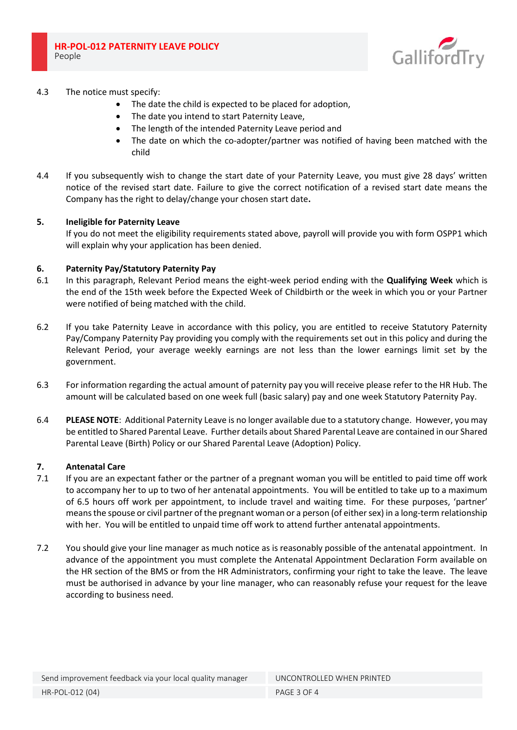

# 4.3 The notice must specify:

- The date the child is expected to be placed for adoption,
- The date you intend to start Paternity Leave,
- The length of the intended Paternity Leave period and
- The date on which the co-adopter/partner was notified of having been matched with the child
- 4.4 If you subsequently wish to change the start date of your Paternity Leave, you must give 28 days' written notice of the revised start date. Failure to give the correct notification of a revised start date means the Company has the right to delay/change your chosen start date**.**

### **5. Ineligible for Paternity Leave**

If you do not meet the eligibility requirements stated above, payroll will provide you with form OSPP1 which will explain why your application has been denied.

# **6. Paternity Pay/Statutory Paternity Pay**

- 6.1 In this paragraph, Relevant Period means the eight-week period ending with the **Qualifying Week** which is the end of the 15th week before the Expected Week of Childbirth or the week in which you or your Partner were notified of being matched with the child.
- 6.2 If you take Paternity Leave in accordance with this policy, you are entitled to receive Statutory Paternity Pay/Company Paternity Pay providing you comply with the requirements set out in this policy and during the Relevant Period, your average weekly earnings are not less than the lower earnings limit set by the government.
- 6.3 For information regarding the actual amount of paternity pay you will receive please refer to the HR Hub. The amount will be calculated based on one week full (basic salary) pay and one week Statutory Paternity Pay.
- 6.4 **PLEASE NOTE**: Additional Paternity Leave is no longer available due to a statutory change. However, you may be entitled to Shared Parental Leave. Further details about Shared Parental Leave are contained in our Shared Parental Leave (Birth) Policy or our Shared Parental Leave (Adoption) Policy.

### **7. Antenatal Care**

- 7.1 If you are an expectant father or the partner of a pregnant woman you will be entitled to paid time off work to accompany her to up to two of her antenatal appointments. You will be entitled to take up to a maximum of 6.5 hours off work per appointment, to include travel and waiting time. For these purposes, 'partner' means the spouse or civil partner of the pregnant woman or a person (of either sex) in a long-term relationship with her. You will be entitled to unpaid time off work to attend further antenatal appointments.
- 7.2 You should give your line manager as much notice as is reasonably possible of the antenatal appointment. In advance of the appointment you must complete the Antenatal Appointment Declaration Form available on the HR section of the BMS or from the HR Administrators, confirming your right to take the leave. The leave must be authorised in advance by your line manager, who can reasonably refuse your request for the leave according to business need.